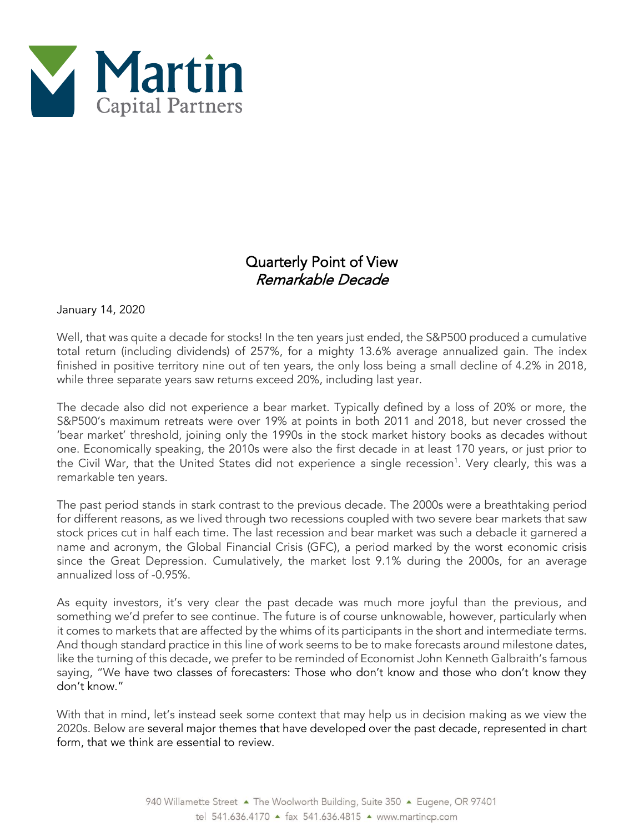

## Quarterly Point of View Remarkable Decade

January 14, 2020

Well, that was quite a decade for stocks! In the ten years just ended, the S&P500 produced a cumulative total return (including dividends) of 257%, for a mighty 13.6% average annualized gain. The index finished in positive territory nine out of ten years, the only loss being a small decline of 4.2% in 2018, while three separate years saw returns exceed 20%, including last year.

The decade also did not experience a bear market. Typically defined by a loss of 20% or more, the S&P500's maximum retreats were over 19% at points in both 2011 and 2018, but never crossed the 'bear market' threshold, joining only the 1990s in the stock market history books as decades without one. Economically speaking, the 2010s were also the first decade in at least 170 years, or just prior to the Civil War, that the United States did not experience a single recession<sup>1</sup>. Very clearly, this was a remarkable ten years.

The past period stands in stark contrast to the previous decade. The 2000s were a breathtaking period for different reasons, as we lived through two recessions coupled with two severe bear markets that saw stock prices cut in half each time. The last recession and bear market was such a debacle it garnered a name and acronym, the Global Financial Crisis (GFC), a period marked by the worst economic crisis since the Great Depression. Cumulatively, the market lost 9.1% during the 2000s, for an average annualized loss of -0.95%.

As equity investors, it's very clear the past decade was much more joyful than the previous, and something we'd prefer to see continue. The future is of course unknowable, however, particularly when it comes to markets that are affected by the whims of its participants in the short and intermediate terms. And though standard practice in this line of work seems to be to make forecasts around milestone dates, like the turning of this decade, we prefer to be reminded of Economist John Kenneth Galbraith's famous saying, "We have two classes of forecasters: Those who don't know and those who don't know they don't know."

With that in mind, let's instead seek some context that may help us in decision making as we view the 2020s. Below are several major themes that have developed over the past decade, represented in chart form, that we think are essential to review.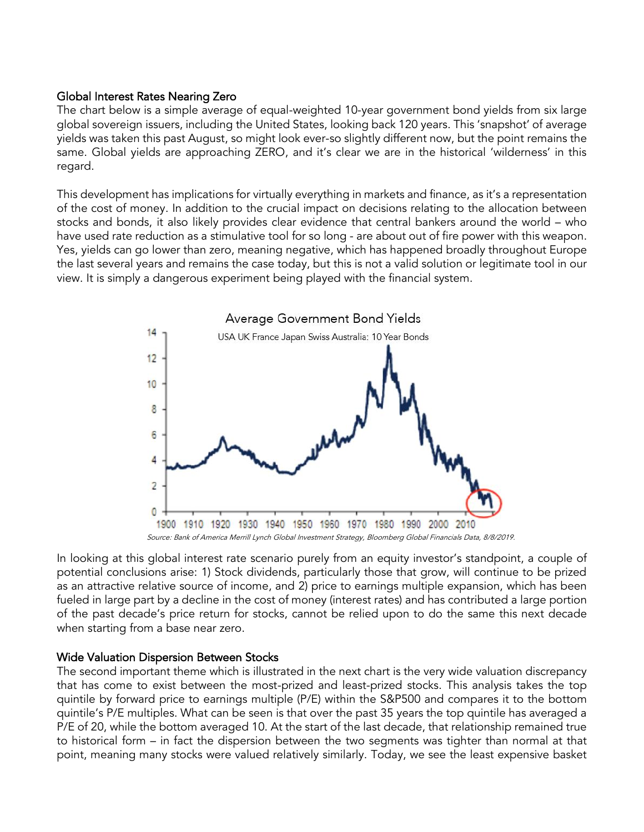## Global Interest Rates Nearing Zero

The chart below is a simple average of equal-weighted 10-year government bond yields from six large global sovereign issuers, including the United States, looking back 120 years. This 'snapshot' of average yields was taken this past August, so might look ever-so slightly different now, but the point remains the same. Global yields are approaching ZERO, and it's clear we are in the historical 'wilderness' in this regard.

This development has implications for virtually everything in markets and finance, as it's a representation of the cost of money. In addition to the crucial impact on decisions relating to the allocation between stocks and bonds, it also likely provides clear evidence that central bankers around the world – who have used rate reduction as a stimulative tool for so long - are about out of fire power with this weapon. Yes, yields can go lower than zero, meaning negative, which has happened broadly throughout Europe the last several years and remains the case today, but this is not a valid solution or legitimate tool in our view. It is simply a dangerous experiment being played with the financial system.



In looking at this global interest rate scenario purely from an equity investor's standpoint, a couple of potential conclusions arise: 1) Stock dividends, particularly those that grow, will continue to be prized as an attractive relative source of income, and 2) price to earnings multiple expansion, which has been fueled in large part by a decline in the cost of money (interest rates) and has contributed a large portion of the past decade's price return for stocks, cannot be relied upon to do the same this next decade when starting from a base near zero.

## Wide Valuation Dispersion Between Stocks

The second important theme which is illustrated in the next chart is the very wide valuation discrepancy that has come to exist between the most-prized and least-prized stocks. This analysis takes the top quintile by forward price to earnings multiple (P/E) within the S&P500 and compares it to the bottom quintile's P/E multiples. What can be seen is that over the past 35 years the top quintile has averaged a P/E of 20, while the bottom averaged 10. At the start of the last decade, that relationship remained true to historical form – in fact the dispersion between the two segments was tighter than normal at that point, meaning many stocks were valued relatively similarly. Today, we see the least expensive basket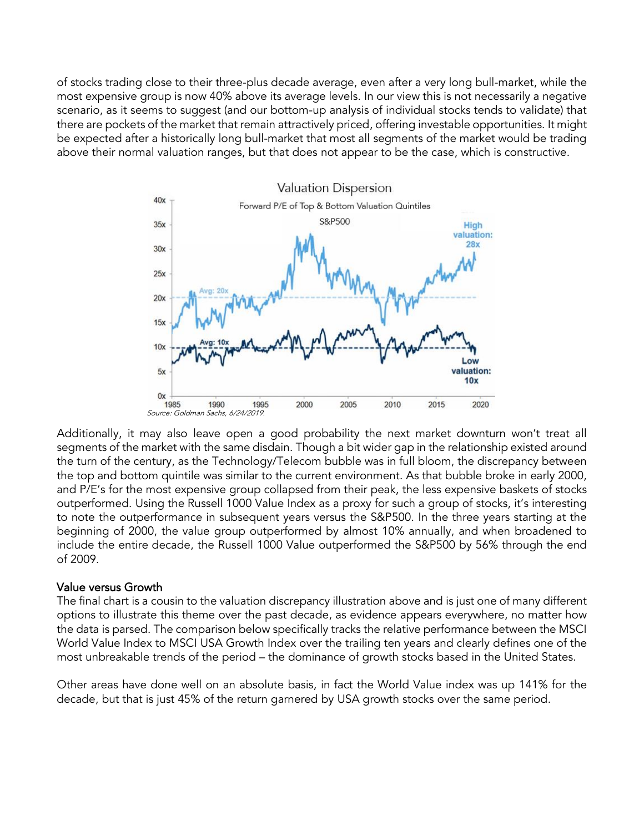of stocks trading close to their three-plus decade average, even after a very long bull-market, while the most expensive group is now 40% above its average levels. In our view this is not necessarily a negative scenario, as it seems to suggest (and our bottom-up analysis of individual stocks tends to validate) that there are pockets of the market that remain attractively priced, offering investable opportunities. It might be expected after a historically long bull-market that most all segments of the market would be trading above their normal valuation ranges, but that does not appear to be the case, which is constructive.



Additionally, it may also leave open a good probability the next market downturn won't treat all segments of the market with the same disdain. Though a bit wider gap in the relationship existed around the turn of the century, as the Technology/Telecom bubble was in full bloom, the discrepancy between the top and bottom quintile was similar to the current environment. As that bubble broke in early 2000, and P/E's for the most expensive group collapsed from their peak, the less expensive baskets of stocks outperformed. Using the Russell 1000 Value Index as a proxy for such a group of stocks, it's interesting to note the outperformance in subsequent years versus the S&P500. In the three years starting at the beginning of 2000, the value group outperformed by almost 10% annually, and when broadened to include the entire decade, the Russell 1000 Value outperformed the S&P500 by 56% through the end of 2009.

## Value versus Growth

The final chart is a cousin to the valuation discrepancy illustration above and is just one of many different options to illustrate this theme over the past decade, as evidence appears everywhere, no matter how the data is parsed. The comparison below specifically tracks the relative performance between the MSCI World Value Index to MSCI USA Growth Index over the trailing ten years and clearly defines one of the most unbreakable trends of the period – the dominance of growth stocks based in the United States.

Other areas have done well on an absolute basis, in fact the World Value index was up 141% for the decade, but that is just 45% of the return garnered by USA growth stocks over the same period.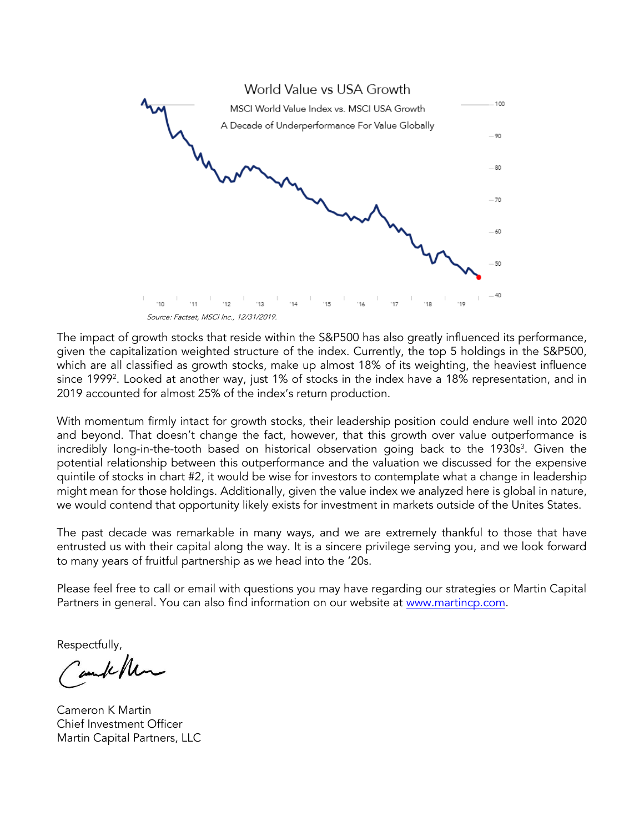

The impact of growth stocks that reside within the S&P500 has also greatly influenced its performance, given the capitalization weighted structure of the index. Currently, the top 5 holdings in the S&P500, which are all classified as growth stocks, make up almost 18% of its weighting, the heaviest influence since 1999<sup>2</sup>. Looked at another way, just 1% of stocks in the index have a 18% representation, and in 2019 accounted for almost 25% of the index's return production.

With momentum firmly intact for growth stocks, their leadership position could endure well into 2020 and beyond. That doesn't change the fact, however, that this growth over value outperformance is incredibly long-in-the-tooth based on historical observation going back to the 1930s 3 . Given the potential relationship between this outperformance and the valuation we discussed for the expensive quintile of stocks in chart #2, it would be wise for investors to contemplate what a change in leadership might mean for those holdings. Additionally, given the value index we analyzed here is global in nature, we would contend that opportunity likely exists for investment in markets outside of the Unites States.

The past decade was remarkable in many ways, and we are extremely thankful to those that have entrusted us with their capital along the way. It is a sincere privilege serving you, and we look forward to many years of fruitful partnership as we head into the '20s.

Please feel free to call or email with questions you may have regarding our strategies or Martin Capital Partners in general. You can also find information on our website at [www.martincp.com.](http://www.martincp.com/)

Respectfully,

amb /h

Cameron K Martin Chief Investment Officer Martin Capital Partners, LLC